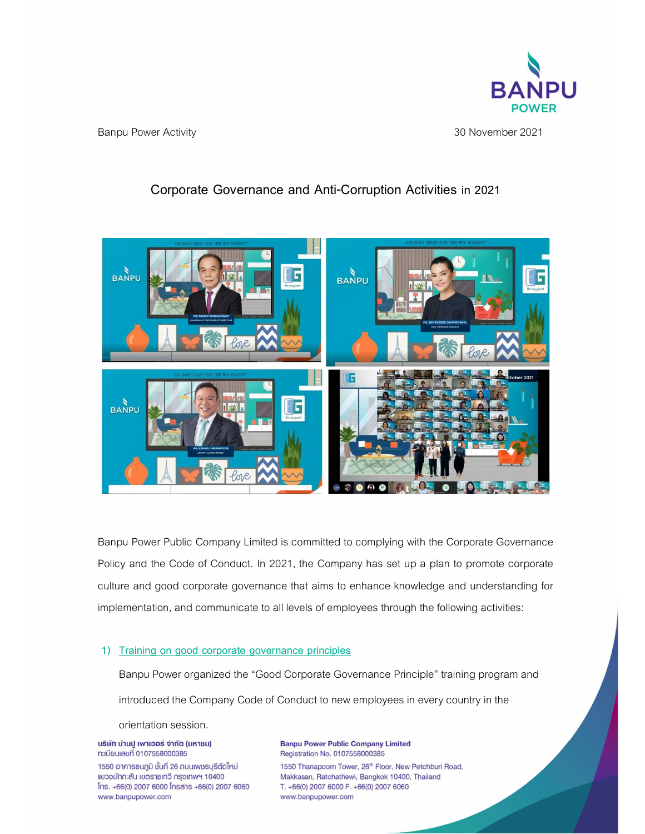

Banpu Power Activity 30 November2021

# Corporate Governance and Anti-Corruption Activities in 2021



Banpu Power Public Company Limited is committed to complying with the Corporate Governance Policy and the Code of Conduct. In 2021, the Company has set up a plan to promote corporate culture and good corporate governance that aims to enhance knowledge and understanding for implementation, and communicate to all levels of employees through the following activities:

## 1) Training on good corporate governance principles

Banpu Power organized the "Good Corporate Governance Principle" training program and introduced the Company Code of Conduct to new employees in every country in the

orientation session.

บริษัท บ้านปู เพาเวอร์ จำกัด (มหาชน) ทะเบียนเลขที่ 0107558000385

1550 อาคารธนภูมิ ชั้นที่ 26 ถนนเพชรบุรีตัดใหม่ แขวงมักกะสัน เขตราชเทวี กรุงเทพฯ 10400 Ins. +66(0) 2007 6000 Insans +66(0) 2007 6060 www.banpupower.com

**Banpu Power Public Company Limited** Registration No. 0107558000385 1550 Thanapoom Tower, 26th Floor, New Petchburi Road, Makkasan, Ratchathewi, Bangkok 10400, Thailand T. +66(0) 2007 6000 F. +66(0) 2007 6060 www.banpupower.com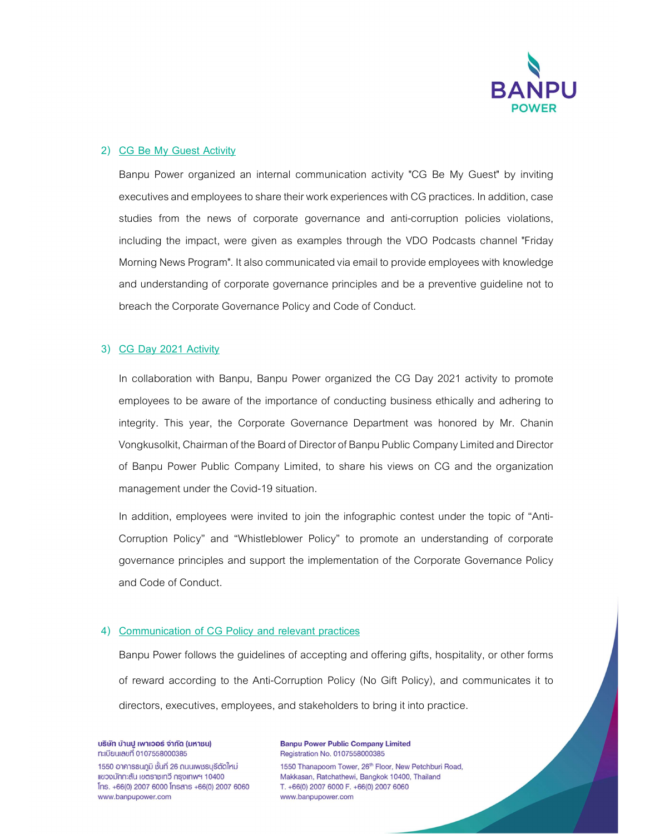

#### 2) CG Be My Guest Activity

Banpu Power organized an internal communication activity "CG Be My Guest" by inviting executives and employees to share their work experiences with CG practices. In addition, case studies from the news of corporate governance and anti-corruption policies violations, including the impact, were given as examples through the VDO Podcasts channel "Friday Morning News Program". It also communicated via email to provide employees with knowledge and understanding of corporate governance principles and be a preventive guideline not to breach the Corporate Governance Policy and Code of Conduct.

### 3) CG Day 2021 Activity

In collaboration with Banpu, Banpu Power organized the CG Day 2021 activity to promote employees to be aware of the importance of conducting business ethically and adhering to integrity. This year, the Corporate Governance Department was honored by Mr. Chanin Vongkusolkit, Chairman of the Board of Director of Banpu Public Company Limited and Director of Banpu Power Public Company Limited, to share his views on CG and the organization management under the Covid-19 situation.

In addition, employees were invited to join the infographic contest under the topic of "Anti-Corruption Policy" and "Whistleblower Policy" to promote an understanding of corporate governance principles and support the implementation of the Corporate Governance Policy and Code of Conduct.

## 4) Communication of CG Policy and relevant practices

Banpu Power follows the guidelines of accepting and offering gifts, hospitality, or other forms of reward according to the Anti-Corruption Policy (No Gift Policy), and communicates it to directors, executives, employees, and stakeholders to bring it into practice.

บริษัท บ้านปู เพาเวอร์ จำกัด (มหาชน) ทะเบียนเลขที่ 0107558000385

1550 อาคารธนภูมิ ชั้นที่ 26 ถนนเพชรบุรีตัดใหม่ แขวงมักกะสัน เขตราชเทวี กรุงเทพฯ 10400  $[$ ns. +66(0) 2007 6000  $[$ nsans +66(0) 2007 6060 www.banpupower.com

**Banpu Power Public Company Limited** Registration No. 0107558000385 1550 Thanapoom Tower, 26th Floor, New Petchburi Road, Makkasan, Ratchathewi, Bangkok 10400, Thailand T. +66(0) 2007 6000 F. +66(0) 2007 6060 www.banpupower.com